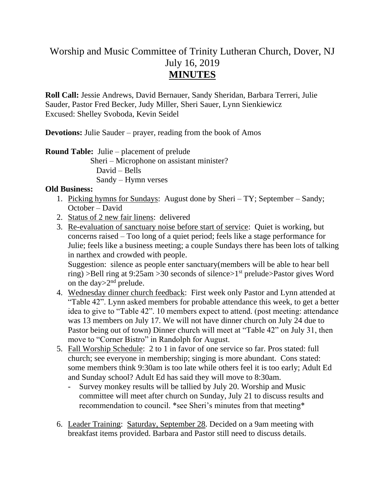## Worship and Music Committee of Trinity Lutheran Church, Dover, NJ July 16, 2019 **MINUTES**

**Roll Call:** Jessie Andrews, David Bernauer, Sandy Sheridan, Barbara Terreri, Julie Sauder, Pastor Fred Becker, Judy Miller, Sheri Sauer, Lynn Sienkiewicz Excused: Shelley Svoboda, Kevin Seidel

**Devotions:** Julie Sauder – prayer, reading from the book of Amos

**Round Table:** Julie – placement of prelude

 Sheri – Microphone on assistant minister? David – Bells Sandy – Hymn verses

## **Old Business:**

- 1. Picking hymns for Sundays: August done by Sheri TY; September Sandy; October – David
- 2. Status of 2 new fair linens: delivered
- 3. Re-evaluation of sanctuary noise before start of service: Quiet is working, but concerns raised – Too long of a quiet period; feels like a stage performance for Julie; feels like a business meeting; a couple Sundays there has been lots of talking in narthex and crowded with people.

Suggestion: silence as people enter sanctuary(members will be able to hear bell ring) >Bell ring at 9:25am >30 seconds of silence >1<sup>st</sup> prelude >Pastor gives Word on the day  $>2^{nd}$  prelude.

- 4. Wednesday dinner church feedback: First week only Pastor and Lynn attended at "Table 42". Lynn asked members for probable attendance this week, to get a better idea to give to "Table 42". 10 members expect to attend. (post meeting: attendance was 13 members on July 17. We will not have dinner church on July 24 due to Pastor being out of town) Dinner church will meet at "Table 42" on July 31, then move to "Corner Bistro" in Randolph for August.
- 5. Fall Worship Schedule: 2 to 1 in favor of one service so far. Pros stated: full church; see everyone in membership; singing is more abundant. Cons stated: some members think 9:30am is too late while others feel it is too early; Adult Ed and Sunday school? Adult Ed has said they will move to 8:30am.
	- Survey monkey results will be tallied by July 20. Worship and Music committee will meet after church on Sunday, July 21 to discuss results and recommendation to council. \*see Sheri's minutes from that meeting\*
- 6. Leader Training: Saturday, September 28. Decided on a 9am meeting with breakfast items provided. Barbara and Pastor still need to discuss details.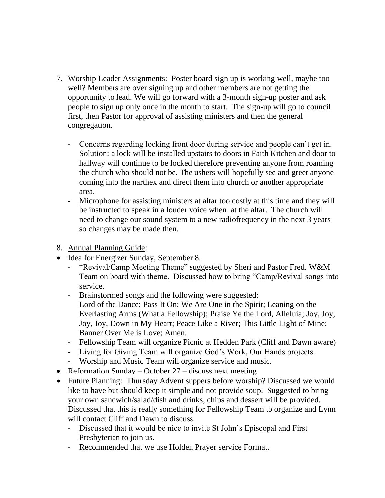- 7. Worship Leader Assignments: Poster board sign up is working well, maybe too well? Members are over signing up and other members are not getting the opportunity to lead. We will go forward with a 3-month sign-up poster and ask people to sign up only once in the month to start. The sign-up will go to council first, then Pastor for approval of assisting ministers and then the general congregation.
	- Concerns regarding locking front door during service and people can't get in. Solution: a lock will be installed upstairs to doors in Faith Kitchen and door to hallway will continue to be locked therefore preventing anyone from roaming the church who should not be. The ushers will hopefully see and greet anyone coming into the narthex and direct them into church or another appropriate area.
	- Microphone for assisting ministers at altar too costly at this time and they will be instructed to speak in a louder voice when at the altar. The church will need to change our sound system to a new radiofrequency in the next 3 years so changes may be made then.
- 8. Annual Planning Guide:
- Idea for Energizer Sunday, September 8.
	- "Revival/Camp Meeting Theme" suggested by Sheri and Pastor Fred. W&M Team on board with theme. Discussed how to bring "Camp/Revival songs into service.
	- Brainstormed songs and the following were suggested: Lord of the Dance; Pass It On; We Are One in the Spirit; Leaning on the Everlasting Arms (What a Fellowship); Praise Ye the Lord, Alleluia; Joy, Joy, Joy, Joy, Down in My Heart; Peace Like a River; This Little Light of Mine; Banner Over Me is Love; Amen.
	- Fellowship Team will organize Picnic at Hedden Park (Cliff and Dawn aware)
	- Living for Giving Team will organize God's Work, Our Hands projects.
	- Worship and Music Team will organize service and music.
- Reformation Sunday October  $27$  discuss next meeting
- Future Planning: Thursday Advent suppers before worship? Discussed we would like to have but should keep it simple and not provide soup. Suggested to bring your own sandwich/salad/dish and drinks, chips and dessert will be provided. Discussed that this is really something for Fellowship Team to organize and Lynn will contact Cliff and Dawn to discuss.
	- Discussed that it would be nice to invite St John's Episcopal and First Presbyterian to join us.
	- Recommended that we use Holden Prayer service Format.